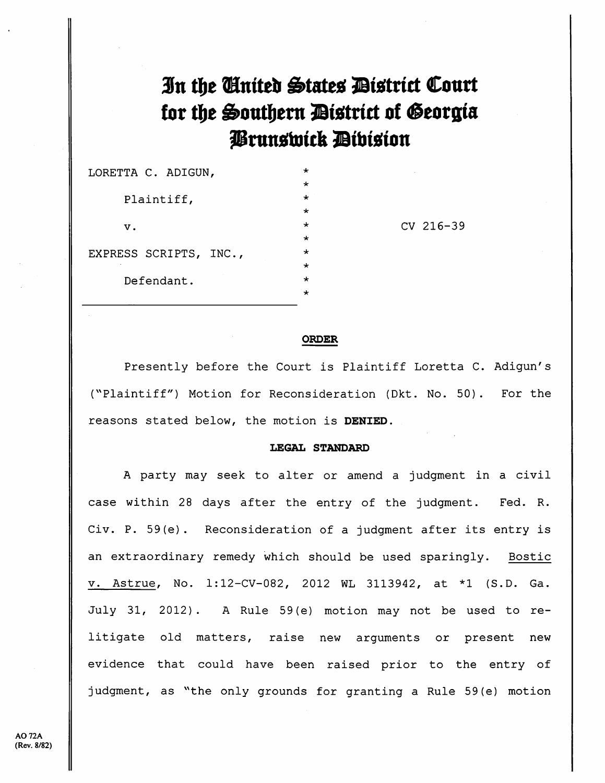In the Cinited States District Court for the Southern District of Georgia Prunswick Division

| LORETTA C. ADIGUN,     | $^{\star}$ |
|------------------------|------------|
|                        | ÷          |
| Plaintiff,             | ÷          |
|                        | ÷          |
| v.                     | ÷          |
|                        | ÷          |
| EXPRESS SCRIPTS, INC., | $\star$    |
|                        | $\star$    |
| Defendant.             | $\star$    |
|                        |            |

CV 216-39

## **ORDER**

Presently before the Court is Plaintiff Loretta C. Adigun's ("Plaintiff") Motion for Reconsideration (Dkt. No. 50). For the reasons stated below, the motion is DENIED.

## **LEGAL STANDARD**

A party may seek to alter or amend a judgment in a civil case within 28 days after the entry of the judgment. Fed. R. Civ. P. 59(e). Reconsideration of a judgment after its entry is an extraordinary remedy which should be used sparingly. Bostic v. Astrue, No. 1:12-CV-082, 2012 WL 3113942, at \*1 (S.D. Ga. July 31, 2012). A Rule 59(e) motion may not be used to relitigate old matters, raise new arguments or present new evidence that could have been raised prior to the entry of judgment, as "the only grounds for granting a Rule 59(e) motion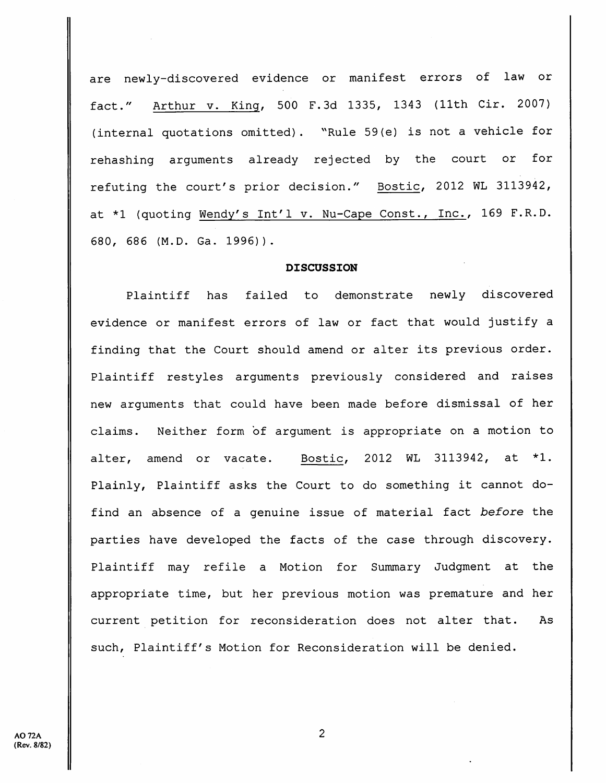are newly-discovered evidence or manifest errors of law or fact." Arthur v. King, 500 F.3d 1335, 1343 (11th Cir. 2007) (internal quotations omitted). ""Rule 59(e) is not <sup>a</sup> vehicle for rehashing arguments already rejected by the court or for refuting the court's prior decision." Bostic, 2012 WL 3113942, at \*1 (quoting Wendy's Int'l v. Nu-Cape Const., Inc., <sup>169</sup> F.R.D. 680, 686 (M.D. Ga. 1996)).

## **DISCUSSION**

Plaintiff has failed to demonstrate newly discovered evidence or manifest errors of law or fact that would justify <sup>a</sup> finding that the Court should amend or alter its previous order. Plaintiff restyles arguments previously considered and raises new arguments that could have been made before dismissal of her claims. Neither form of argument is appropriate on a motion to alter, amend or vacate. Bostic, 2012 WL 3113942, at \*1. Plainly, Plaintiff asks the Court to do something it cannot dofind an absence of <sup>a</sup> genuine issue of material fact before the parties have developed the facts of the case through discovery. Plaintiff may refile <sup>a</sup> Motion for Summary Judgment at the appropriate time, but her previous motion was premature and her current petition for reconsideration does not alter that. As such. Plaintiff's Motion for Reconsideration will be denied.

 $\overline{2}$